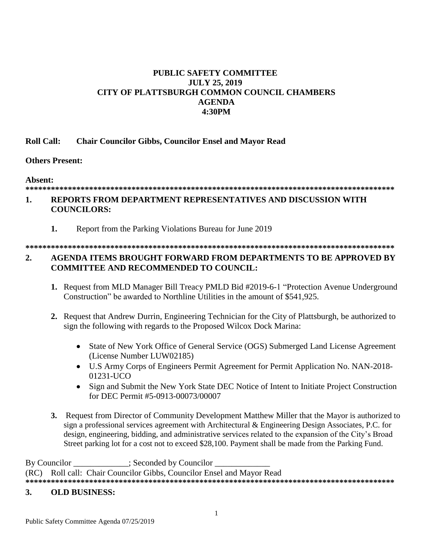# **PUBLIC SAFETY COMMITTEE JULY 25, 2019 CITY OF PLATTSBURGH COMMON COUNCIL CHAMBERS AGENDA 4:30PM**

#### **Roll Call: Chair Councilor Gibbs, Councilor Ensel and Mayor Read**

#### **Others Present:**

#### **Absent:**

## **\*\*\*\*\*\*\*\*\*\*\*\*\*\*\*\*\*\*\*\*\*\*\*\*\*\*\*\*\*\*\*\*\*\*\*\*\*\*\*\*\*\*\*\*\*\*\*\*\*\*\*\*\*\*\*\*\*\*\*\*\*\*\*\*\*\*\*\*\*\*\*\*\*\*\*\*\*\*\*\*\*\*\*\*\*\*\***

# **1. REPORTS FROM DEPARTMENT REPRESENTATIVES AND DISCUSSION WITH COUNCILORS:**

**1.** Report from the Parking Violations Bureau for June 2019

# **\*\*\*\*\*\*\*\*\*\*\*\*\*\*\*\*\*\*\*\*\*\*\*\*\*\*\*\*\*\*\*\*\*\*\*\*\*\*\*\*\*\*\*\*\*\*\*\*\*\*\*\*\*\*\*\*\*\*\*\*\*\*\*\*\*\*\*\*\*\*\*\*\*\*\*\*\*\*\*\*\*\*\*\*\*\*\***

### **2. AGENDA ITEMS BROUGHT FORWARD FROM DEPARTMENTS TO BE APPROVED BY COMMITTEE AND RECOMMENDED TO COUNCIL:**

- **1.** Request from MLD Manager Bill Treacy PMLD Bid #2019-6-1 "Protection Avenue Underground Construction" be awarded to Northline Utilities in the amount of \$541,925.
- **2.** Request that Andrew Durrin, Engineering Technician for the City of Plattsburgh, be authorized to sign the following with regards to the Proposed Wilcox Dock Marina:
	- State of New York Office of General Service (OGS) Submerged Land License Agreement (License Number LUW02185)
	- U.S Army Corps of Engineers Permit Agreement for Permit Application No. NAN-2018- 01231-UCO
	- Sign and Submit the New York State DEC Notice of Intent to Initiate Project Construction for DEC Permit #5-0913-00073/00007
- **3.** Request from Director of Community Development Matthew Miller that the Mayor is authorized to sign a professional services agreement with Architectural & Engineering Design Associates, P.C. for design, engineering, bidding, and administrative services related to the expansion of the City's Broad Street parking lot for a cost not to exceed \$28,100. Payment shall be made from the Parking Fund.

By Councilor  $\qquad \qquad ;$  Seconded by Councilor (RC) Roll call: Chair Councilor Gibbs, Councilor Ensel and Mayor Read **\*\*\*\*\*\*\*\*\*\*\*\*\*\*\*\*\*\*\*\*\*\*\*\*\*\*\*\*\*\*\*\*\*\*\*\*\*\*\*\*\*\*\*\*\*\*\*\*\*\*\*\*\*\*\*\*\*\*\*\*\*\*\*\*\*\*\*\*\*\*\*\*\*\*\*\*\*\*\*\*\*\*\*\*\*\*\***

#### **3. OLD BUSINESS:**